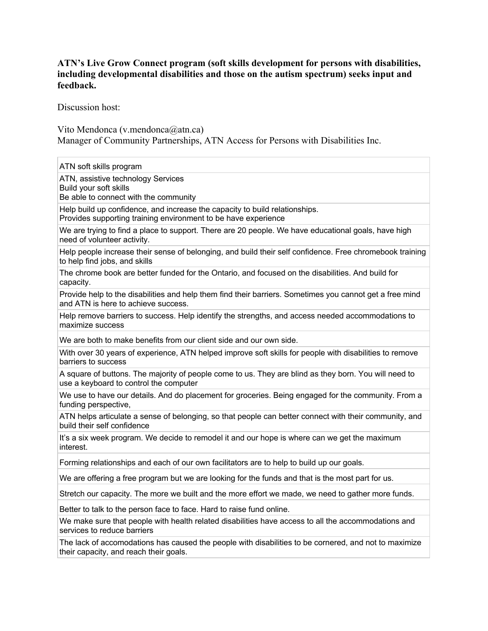## **ATN's Live Grow Connect program (soft skills development for persons with disabilities, including developmental disabilities and those on the autism spectrum) seeks input and feedback.**

Discussion host:

Vito Mendonca (v.mendonca@atn.ca) Manager of Community Partnerships, ATN Access for Persons with Disabilities Inc.

ATN soft skills program ATN, assistive technology Services Build your soft skills Be able to connect with the community Help build up confidence, and increase the capacity to build relationships. Provides supporting training environment to be have experience We are trying to find a place to support. There are 20 people. We have educational goals, have high need of volunteer activity. Help people increase their sense of belonging, and build their self confidence. Free chromebook training to help find jobs, and skills The chrome book are better funded for the Ontario, and focused on the disabilities. And build for capacity. Provide help to the disabilities and help them find their barriers. Sometimes you cannot get a free mind and ATN is here to achieve success. Help remove barriers to success. Help identify the strengths, and access needed accommodations to maximize success We are both to make benefits from our client side and our own side. With over 30 years of experience, ATN helped improve soft skills for people with disabilities to remove barriers to success A square of buttons. The majority of people come to us. They are blind as they born. You will need to use a keyboard to control the computer We use to have our details. And do placement for groceries. Being engaged for the community. From a funding perspective, ATN helps articulate a sense of belonging, so that people can better connect with their community, and build their self confidence It's a six week program. We decide to remodel it and our hope is where can we get the maximum interest. Forming relationships and each of our own facilitators are to help to build up our goals. We are offering a free program but we are looking for the funds and that is the most part for us. Stretch our capacity. The more we built and the more effort we made, we need to gather more funds. Better to talk to the person face to face. Hard to raise fund online. We make sure that people with health related disabilities have access to all the accommodations and services to reduce barriers The lack of accomodations has caused the people with disabilities to be cornered, and not to maximize their capacity, and reach their goals.